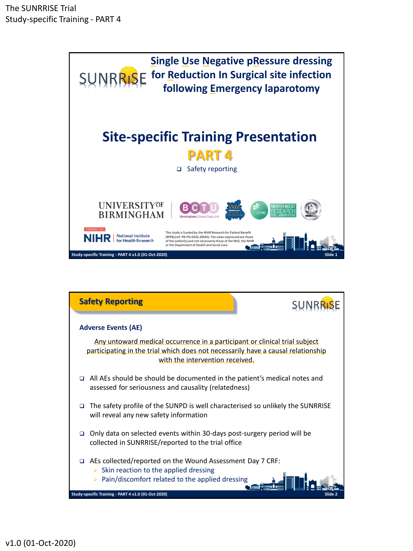

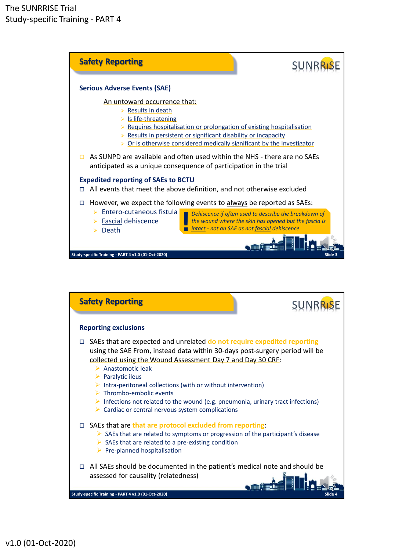

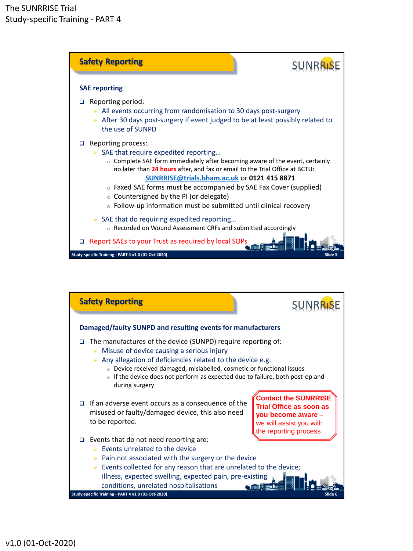